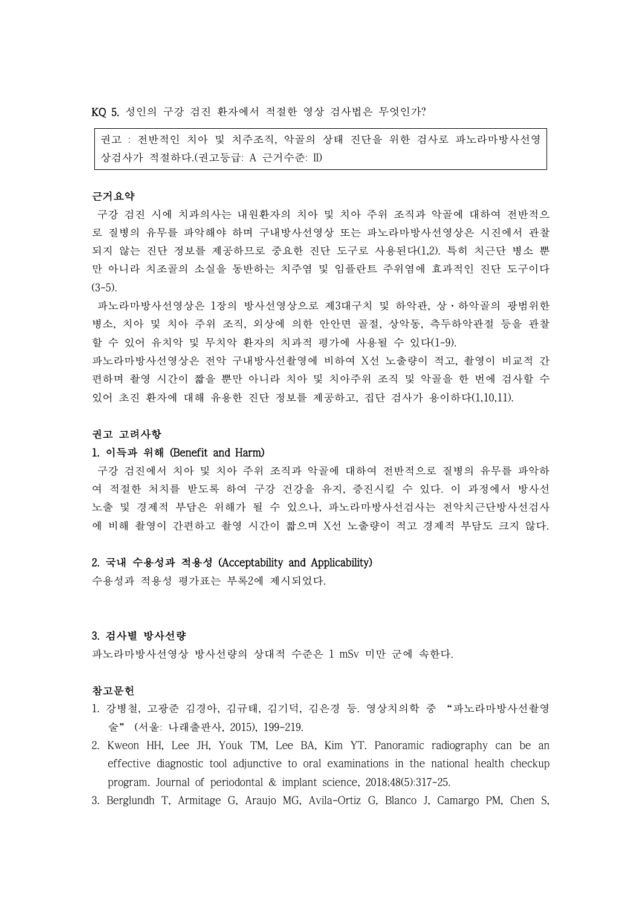KQ 5. 성인의 구강 검진 환자에서 적절한 영상 검사법은 무엇인가?

권고 : 전반적인 치아 및 치주조직, 악골의 상태 진단을 위한 검사로 파노라마방사선영 상검사가 적절하다.(권고등급: A 근거수준: II)

# 근거요약

구강 검진 시에 치과의사는 내원환자의 치아 및 치아 주위 조직과 악골에 대하여 전반적으 로 질병의 유무를 파악해야 하며 구내방사선영상 또는 파노라마방사선영상은 시진에서 관찰 되지 않는 진단 정보를 제공하므로 중요한 진단 도구로 사용된다(1,2). 특히 치근단 병소 뿐 만 아니라 치조골의 소실을 동반하는 치주염 및 임플란트 주위염에 효과적인 진단 도구이다  $(3-5)$ .

파노라마방사선영상은 1장의 방사선영상으로 제3대구치 및 하악관, 상·하악골의 광범위한 병소, 치아 및 치아 주위 조직, 외상에 의한 안안면 골절, 상악동, 측두하악관절 등을 관찰 할 수 있어 유치악 및 무치악 환자의 치과적 평가에 사용될 수 있다(1-9).

파노라마방사선영상은 전악 구내방사선촬영에 비하여 X선 노출량이 적고, 촬영이 비교적 간 편하며 촬영 시간이 짧을 뿐만 아니라 치아 및 치아주위 조직 및 악골을 한 번에 검사할 수 있어 초진 환자에 대해 유용한 진단 정보를 제공하고, 집단 검사가 용이하다(1,10,11).

#### 권고 고려사항

# 1. 이득과 위해 (Benefit and Harm)

구강 검진에서 치아 및 치아 주위 조직과 악골에 대하여 전반적으로 질병의 유무를 파악하 여 적절한 처치를 받도록 하여 구강 건강을 유지, 증진시킬 수 있다. 이 과정에서 방사선 노출 및 경제적 부담은 위해가 될 수 있으나, 파노라마방사선검사는 전악치근단방사선검사 에 비해 촬영이 간편하고 촬영 시간이 짧으며 X선 노출량이 적고 경제적 부담도 크지 않다.

### 2. 국내 수용성과 적용성 (Acceptability and Applicability)

수용성과 적용성 평가표는 부록2에 제시되었다.

## 3. 검사별 방사선량

파노라마방사선영상 방사선량의 상대적 수준은 1 mSv 미만 군에 속한다.<br><br>**참고문헌** 

- 1. 강병철, 고광준 김경아, 김규태, 김기덕, 김은경 등. 영상치의학 중 "파노라마방사선촬영 술" (서울: 나래출판사, 2015), 199-219.
- 2. Kweon HH, Lee JH, Youk TM, Lee BA, Kim YT. Panoramic radiography can be an effective diagnostic tool adjunctive to oral examinations in the national health checkup program. Journal of periodontal & implant science, 2018;48(5):317-25.
- 3. Berglundh T, Armitage G, Araujo MG, Avila-Ortiz G, Blanco J, Camargo PM, Chen S,